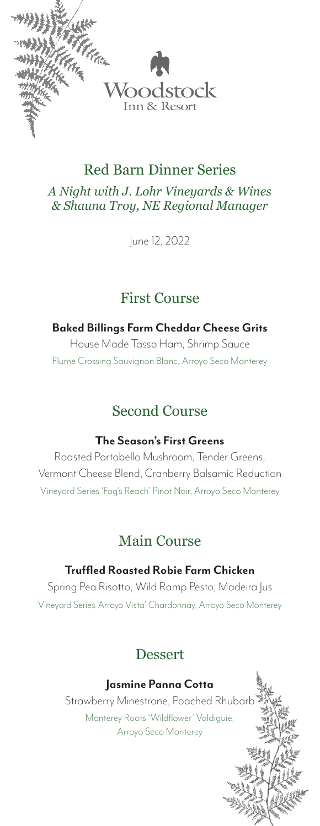

*A Night with J. Lohr Vineyards & Wines & Shauna Troy, NE Regional Manager*

June 12, 2022

## First Course

#### **Baked Billings Farm Cheddar Cheese Grits**

House Made Tasso Ham, Shrimp Sauce Flume Crossing Sauvignon Blanc, Arroyo Seco Monterey

# Second Course

### **The Season's First Greens**

Roasted Portobello Mushroom, Tender Greens, Vermont Cheese Blend, Cranberry Balsamic Reduction Vineyard Series 'Fog's Reach' Pinot Noir, Arroyo Seco Monterey

# Main Course

### **Truffled Roasted Robie Farm Chicken**

Spring Pea Risotto, Wild Ramp Pesto, Madeira Jus Vineyard Series 'Arroyo Vista' Chardonnay, Arroyo Seco Monterey

## Dessert

### **Jasmine Panna Cotta**

Strawberry Minestrone, Poached Rhubarb Monterey Roots 'Wildflower' Valdiguie, Arroyo Seco Monterey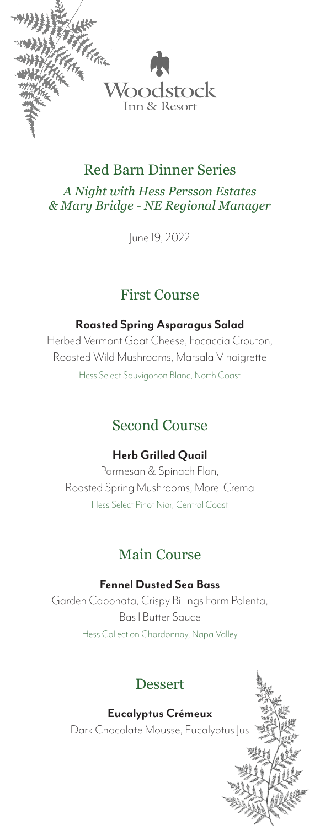

*A Night with Hess Persson Estates & Mary Bridge - NE Regional Manager*

June 19, 2022

## First Course

### **Roasted Spring Asparagus Salad**

Herbed Vermont Goat Cheese, Focaccia Crouton, Roasted Wild Mushrooms, Marsala Vinaigrette Hess Select Sauvigonon Blanc, North Coast

# Second Course

### **Herb Grilled Quail**

Parmesan & Spinach Flan, Roasted Spring Mushrooms, Morel Crema Hess Select Pinot Nior, Central Coast

# Main Course

### **Fennel Dusted Sea Bass**

Garden Caponata, Crispy Billings Farm Polenta, Basil Butter Sauce Hess Collection Chardonnay, Napa Valley

# Dessert

**Eucalyptus Crémeux**

Dark Chocolate Mousse, Eucalyptus Jus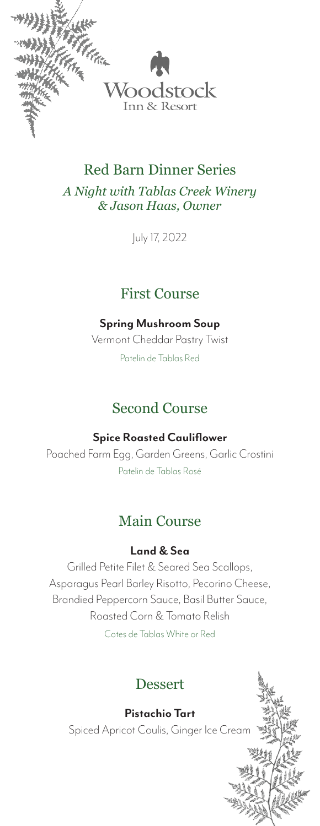

*A Night with Tablas Creek Winery & Jason Haas, Owner*

July 17, 2022

## First Course

### **Spring Mushroom Soup**

Vermont Cheddar Pastry Twist Patelin de Tablas Red

# Second Course

### **Spice Roasted Cauliflower**

Poached Farm Egg, Garden Greens, Garlic Crostini Patelin de Tablas Rosé

# Main Course

### **Land & Sea**

Grilled Petite Filet & Seared Sea Scallops, Asparagus Pearl Barley Risotto, Pecorino Cheese, Brandied Peppercorn Sauce, Basil Butter Sauce, Roasted Corn & Tomato Relish Cotes de Tablas White or Red

# Dessert

**Pistachio Tart** Spiced Apricot Coulis, Ginger Ice Cream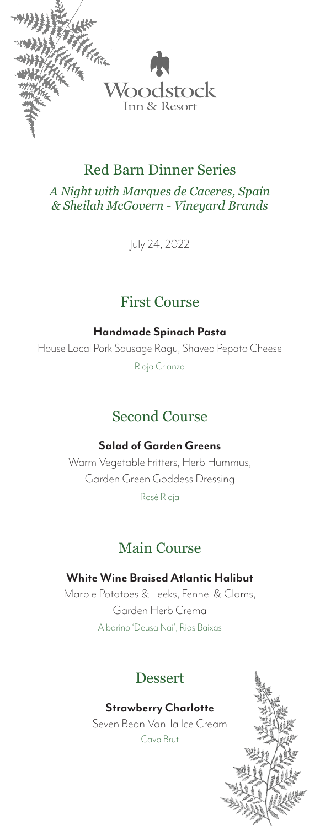

*A Night with Marques de Caceres, Spain & Sheilah McGovern - Vineyard Brands*

July 24, 2022

# First Course

**Handmade Spinach Pasta**

House Local Pork Sausage Ragu, Shaved Pepato Cheese Rioja Crianza

# Second Course

#### **Salad of Garden Greens**

Warm Vegetable Fritters, Herb Hummus, Garden Green Goddess Dressing Rosé Rioja

## Main Course

**White Wine Braised Atlantic Halibut** Marble Potatoes & Leeks, Fennel & Clams, Garden Herb Crema Albarino 'Deusa Nai', Rias Baixas

## Dessert

#### **Strawberry Charlotte**

Seven Bean Vanilla Ice Cream Cava Brut

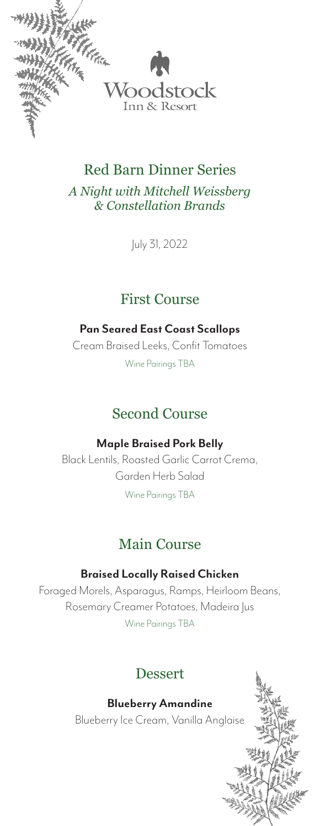

*A Night with Mitchell Weissberg & Constellation Brands*

July 31, 2022

## First Course

### **Pan Seared East Coast Scallops**

Cream Braised Leeks, Confit Tomatoes Wine Pairings TBA

# Second Course

### **Maple Braised Pork Belly**

Black Lentils, Roasted Garlic Carrot Crema, Garden Herb Salad

Wine Pairings TBA

## Main Course

### **Braised Locally Raised Chicken**

Foraged Morels, Asparagus, Ramps, Heirloom Beans, Rosemary Creamer Potatoes, Madeira Jus Wine Pairings TBA

### Dessert

#### **Blueberry Amandine**

Blueberry Ice Cream, Vanilla Anglaise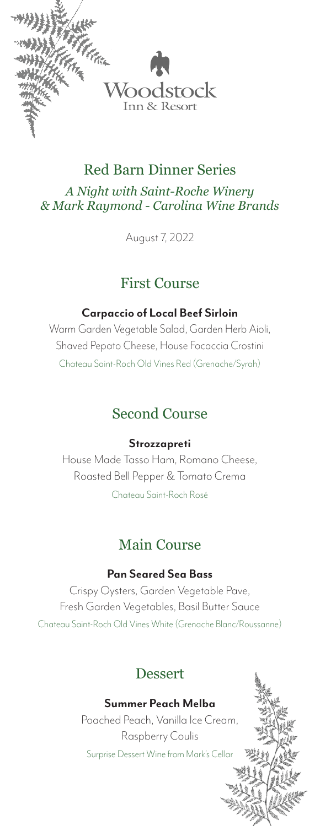

*A Night with Saint-Roche Winery & Mark Raymond - Carolina Wine Brands*

August 7, 2022

## First Course

### **Carpaccio of Local Beef Sirloin**

Warm Garden Vegetable Salad, Garden Herb Aioli, Shaved Pepato Cheese, House Focaccia Crostini Chateau Saint-Roch Old Vines Red (Grenache/Syrah)

# Second Course

#### **Strozzapreti**

House Made Tasso Ham, Romano Cheese, Roasted Bell Pepper & Tomato Crema

Chateau Saint-Roch Rosé

# Main Course

### **Pan Seared Sea Bass**

Crispy Oysters, Garden Vegetable Pave, Fresh Garden Vegetables, Basil Butter Sauce Chateau Saint-Roch Old Vines White (Grenache Blanc/Roussanne)

# Dessert

### **Summer Peach Melba**

Poached Peach, Vanilla Ice Cream, Raspberry Coulis Surprise Dessert Wine from Mark's Cellar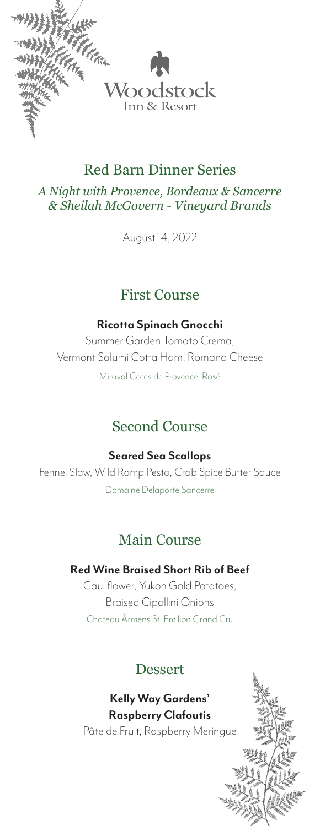

*A Night with Provence, Bordeaux & Sancerre & Sheilah McGovern - Vineyard Brands*

August 14, 2022

### First Course

#### **Ricotta Spinach Gnocchi**

Summer Garden Tomato Crema, Vermont Salumi Cotta Ham, Romano Cheese

Miraval Cotes de Provence Rosé

# Second Course

**Seared Sea Scallops**

Fennel Slaw, Wild Ramp Pesto, Crab Spice Butter Sauce Domaine Delaporte Sancerre

## Main Course

#### **Red Wine Braised Short Rib of Beef**

Cauliflower, Yukon Gold Potatoes, Braised Cipollini Onions Chateau Ârmens St. Emilion Grand Cru

## Dessert

**Kelly Way Gardens' Raspberry Clafoutis** Pâte de Fruit, Raspberry Meringue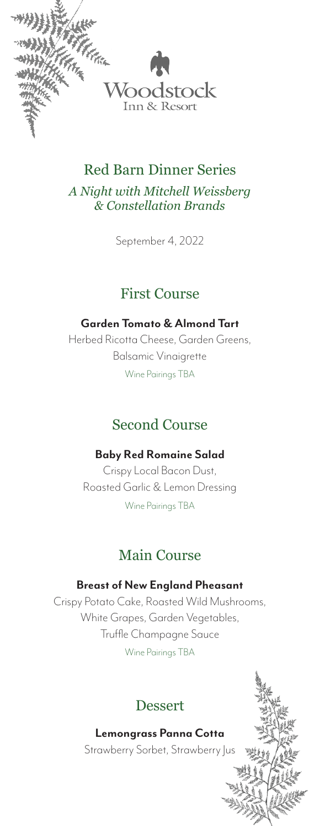

*A Night with Mitchell Weissberg & Constellation Brands*

September 4, 2022

## First Course

### **Garden Tomato & Almond Tart**

Herbed Ricotta Cheese, Garden Greens, Balsamic Vinaigrette Wine Pairings TBA

# Second Course

### **Baby Red Romaine Salad**

Crispy Local Bacon Dust, Roasted Garlic & Lemon Dressing Wine Pairings TBA

# Main Course

### **Breast of New England Pheasant**

Crispy Potato Cake, Roasted Wild Mushrooms, White Grapes, Garden Vegetables, Truffle Champagne Sauce

Wine Pairings TBA

# Dessert

### **Lemongrass Panna Cotta**

Strawberry Sorbet, Strawberry Jus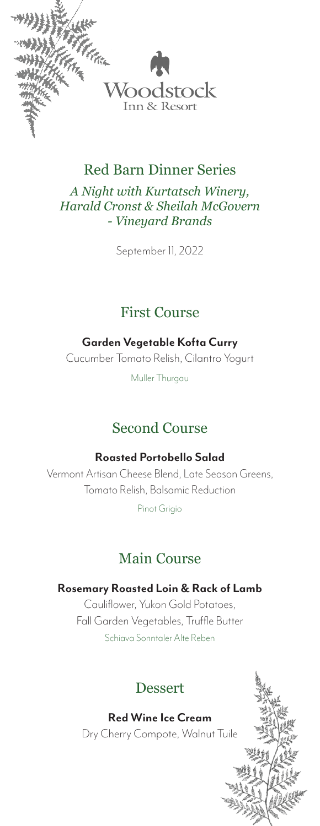

*A Night with Kurtatsch Winery, Harald Cronst & Sheilah McGovern - Vineyard Brands*

September 11, 2022

### First Course

### **Garden Vegetable Kofta Curry**

Cucumber Tomato Relish, Cilantro Yogurt

Muller Thurgau

# Second Course

#### **Roasted Portobello Salad**

Vermont Artisan Cheese Blend, Late Season Greens, Tomato Relish, Balsamic Reduction

Pinot Grigio

# Main Course

### **Rosemary Roasted Loin & Rack of Lamb**

Cauliflower, Yukon Gold Potatoes, Fall Garden Vegetables, Truffle Butter Schiava Sonntaler Alte Reben

# Dessert

**Red Wine Ice Cream**

Dry Cherry Compote, Walnut Tuile